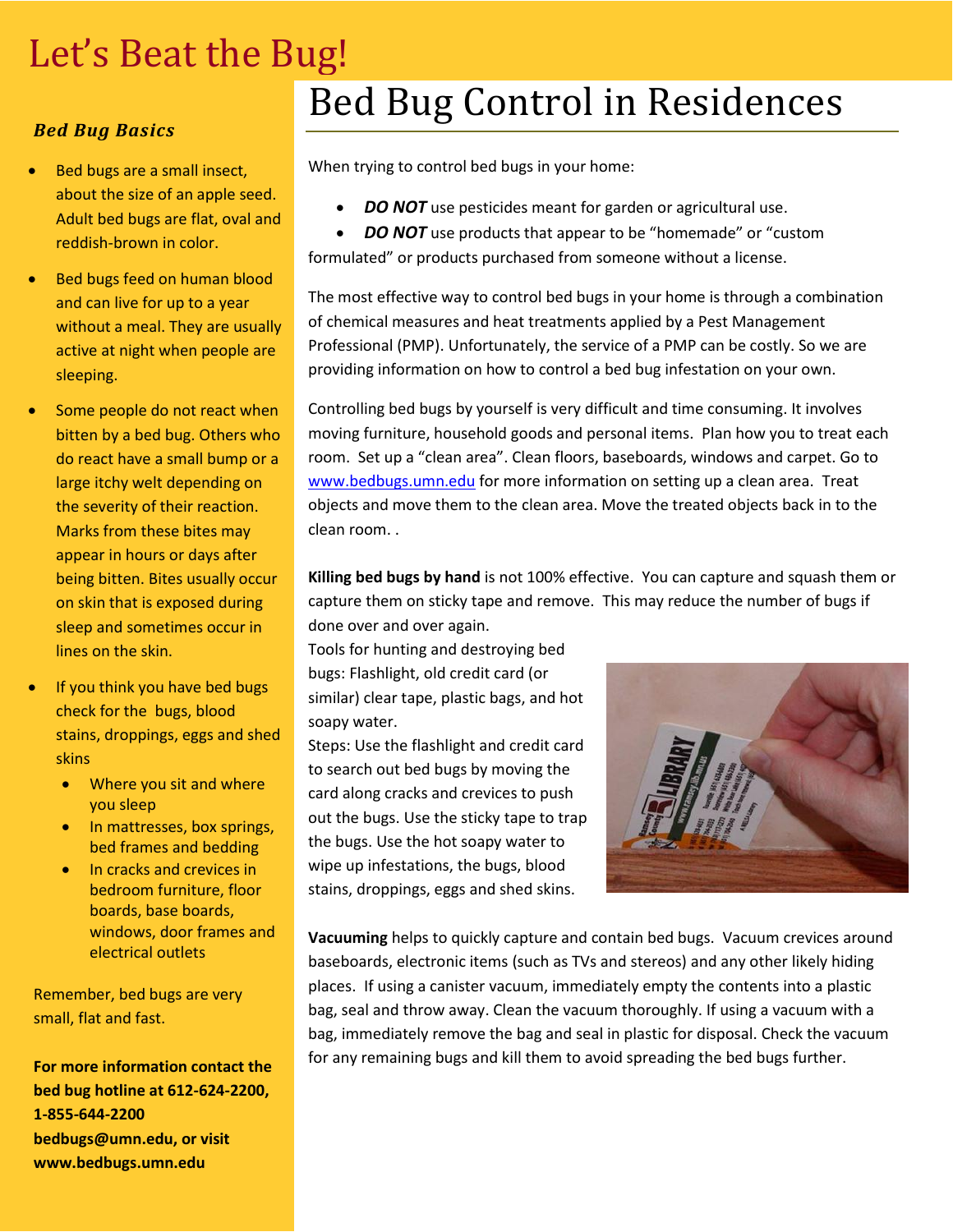## Let's Beat the Bug!

## *Bed Bug Basics*

- Bed bugs are a small insect, about the size of an apple seed. Adult bed bugs are flat, oval and reddish-brown in color.
- Bed bugs feed on human blood and can live for up to a year without a meal. They are usually active at night when people are sleeping.
- Some people do not react when bitten by a bed bug. Others who do react have a small bump or a large itchy welt depending on the severity of their reaction. Marks from these bites may appear in hours or days after being bitten. Bites usually occur on skin that is exposed during sleep and sometimes occur in lines on the skin.
- If you think you have bed bugs check for the bugs, blood stains, droppings, eggs and shed skins
	- Where you sit and where you sleep
	- In mattresses, box springs, bed frames and bedding
	- In cracks and crevices in bedroom furniture, floor boards, base boards, windows, door frames and electrical outlets

Remember, bed bugs are very small, flat and fast.

**For more information contact the bed bug hotline at 612-624-2200, 1-855-644-2200 bedbugs@umn.edu, or visit www.bedbugs.umn.edu**

## Bed Bug Control in Residences

When trying to control bed bugs in your home:

*DO NOT* use pesticides meant for garden or agricultural use.

**DO NOT** use products that appear to be "homemade" or "custom formulated" or products purchased from someone without a license.

The most effective way to control bed bugs in your home is through a combination of chemical measures and heat treatments applied by a Pest Management Professional (PMP). Unfortunately, the service of a PMP can be costly. So we are providing information on how to control a bed bug infestation on your own.

Controlling bed bugs by yourself is very difficult and time consuming. It involves moving furniture, household goods and personal items. Plan how you to treat each room. Set up a "clean area". Clean floors, baseboards, windows and carpet. Go to [www.bedbugs.umn.edu](http://www.bedbugs.umn.edu/) for more information on setting up a clean area. Treat objects and move them to the clean area. Move the treated objects back in to the clean room. .

**Killing bed bugs by hand** is not 100% effective. You can capture and squash them or capture them on sticky tape and remove. This may reduce the number of bugs if done over and over again.

Tools for hunting and destroying bed bugs: Flashlight, old credit card (or similar) clear tape, plastic bags, and hot soapy water.

Steps: Use the flashlight and credit card to search out bed bugs by moving the card along cracks and crevices to push out the bugs. Use the sticky tape to trap the bugs. Use the hot soapy water to wipe up infestations, the bugs, blood stains, droppings, eggs and shed skins.



**Vacuuming** helps to quickly capture and contain bed bugs. Vacuum crevices around baseboards, electronic items (such as TVs and stereos) and any other likely hiding places. If using a canister vacuum, immediately empty the contents into a plastic bag, seal and throw away. Clean the vacuum thoroughly. If using a vacuum with a bag, immediately remove the bag and seal in plastic for disposal. Check the vacuum for any remaining bugs and kill them to avoid spreading the bed bugs further.